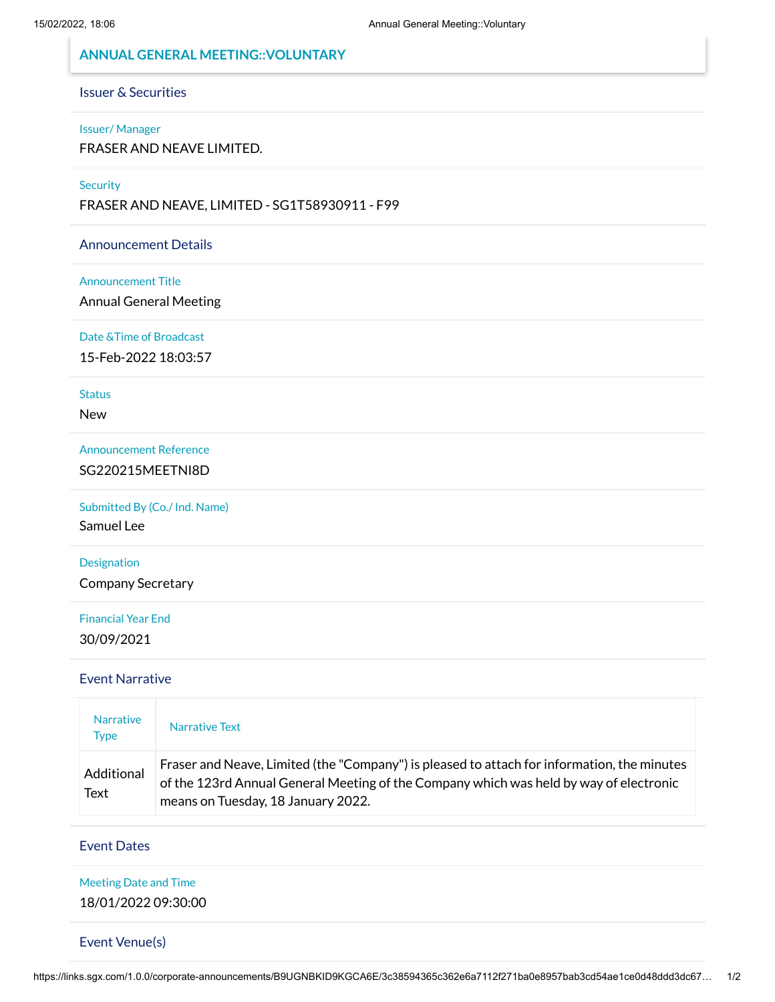## **ANNUAL GENERAL MEETING::VOLUNTARY**

# Issuer & Securities

#### Issuer/ Manager

FRASER AND NEAVE LIMITED.

#### **Security**

FRASER AND NEAVE, LIMITED - SG1T58930911 - F99

#### Announcement Details

#### Announcement Title

Annual General Meeting

#### Date &Time of Broadcast

15-Feb-2022 18:03:57

### **Status**

New

#### Announcement Reference

SG220215MEETNI8D

### Submitted By (Co./ Ind. Name)

Samuel Lee

#### Designation

Company Secretary

# Financial Year End 30/09/2021

### Event Narrative

| <b>Narrative</b><br><b>Type</b> | Narrative Text                                                                                                                                                                                                              |  |
|---------------------------------|-----------------------------------------------------------------------------------------------------------------------------------------------------------------------------------------------------------------------------|--|
| Additional<br>Text              | Fraser and Neave, Limited (the "Company") is pleased to attach for information, the minutes<br>of the 123rd Annual General Meeting of the Company which was held by way of electronic<br>means on Tuesday, 18 January 2022. |  |

#### Event Dates

#### Meeting Date and Time

18/01/2022 09:30:00

#### Event Venue(s)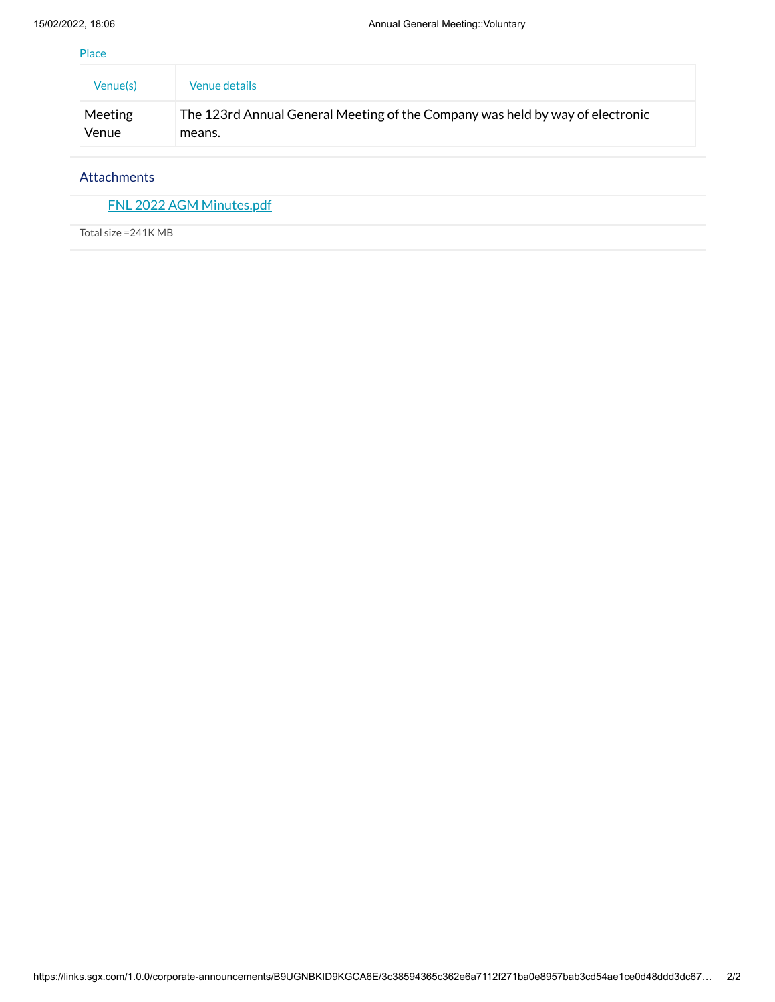Place

| Venue(s) | <b>Venue details</b>                                                          |
|----------|-------------------------------------------------------------------------------|
| Meeting  | The 123rd Annual General Meeting of the Company was held by way of electronic |
| Venue    | means.                                                                        |

#### Attachments

FNL 2022 AGM [Minutes.pdf](https://links.sgx.com/1.0.0/corporate-announcements/B9UGNBKID9KGCA6E/702165_FNL%202022%20AGM%20Minutes.pdf)

Total size =241K MB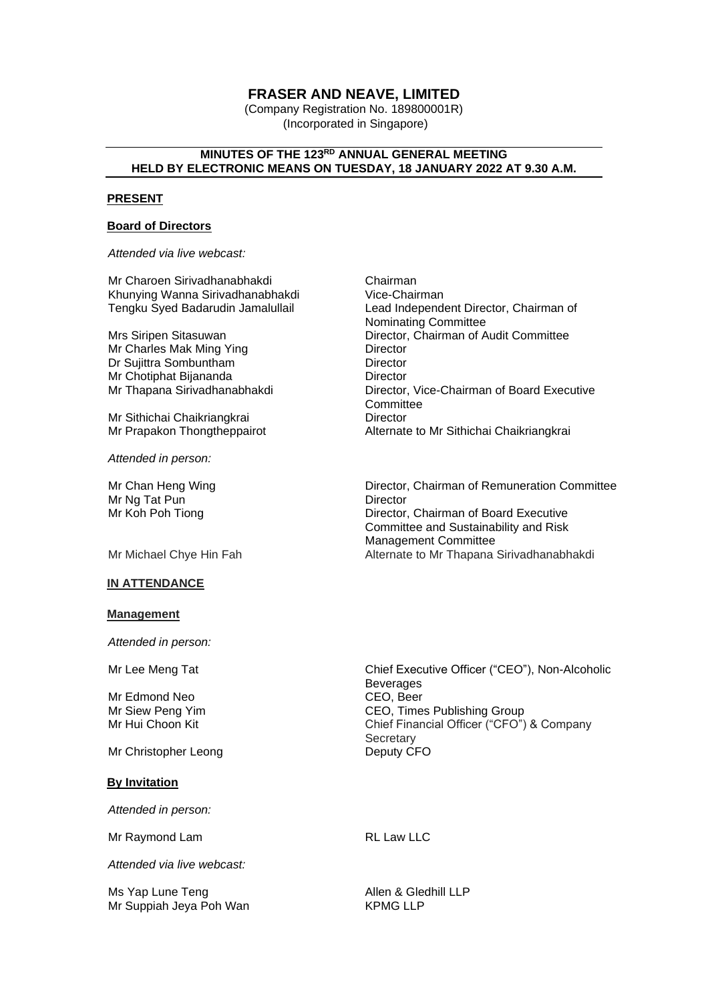# **FRASER AND NEAVE, LIMITED**

(Company Registration No. 189800001R) (Incorporated in Singapore)

### **MINUTES OF THE 123RD ANNUAL GENERAL MEETING HELD BY ELECTRONIC MEANS ON TUESDAY, 18 JANUARY 2022 AT 9.30 A.M.**

#### **PRESENT**

#### **Board of Directors**

*Attended via live webcast:*

Mr Charoen Sirivadhanabhakdi Chairman Khunying Wanna Sirivadhanabhakdi<br>Tengku Syed Badarudin Jamalullail

Mr Charles Mak Ming Ying **Director**<br>Dr Suijittra Sombuntham<br>Director Dr Sujittra Sombuntham Mr Chotiphat Bijananda Director

Mr Sithichai Chaikriangkrai **Director** Director

*Attended in person:*

Mr Chan Heng Wing Mr Ng Tat Pun Mr Koh Poh Tiong

#### **IN ATTENDANCE**

#### **Management**

*Attended in person:*

Mr Edmond Neo<br>Mr Siew Peng Yim

Mr Christopher Leong Deputy CFO

#### **By Invitation**

*Attended in person:*

Mr Raymond Lam RL Law LLC

*Attended via live webcast:*

Ms Yap Lune Teng Allen & Gledhill LLP Mr Suppiah Jeya Poh Wan

Lead Independent Director, Chairman of Nominating Committee Mrs Siripen Sitasuwan **Director, Chairman of Audit Committee**<br>Mr Charles Mak Ming Ying **Director** Director Director, Vice-Chairman of Board Executive **Committee** Mr Prapakon Thongtheppairot **Alternate to Mr Sithichai Chaikriangkrai** 

Director, Chairman of Remuneration Committee **Director** Director, Chairman of Board Executive Committee and Sustainability and Risk Management Committee Mr Michael Chye Hin Fah Alternate to Mr Thapana Sirivadhanabhakdi

Mr Lee Meng Tat **Chief Executive Officer ("CEO")**, Non-Alcoholic Beverages<br>CEO, Beer Mr Siew Peng Yim **CEO, Times Publishing Group**<br>Mr Hui Choon Kit **Chief Financial Officer** ("CFO") Chief Financial Officer ("CFO") & Company **Secretary**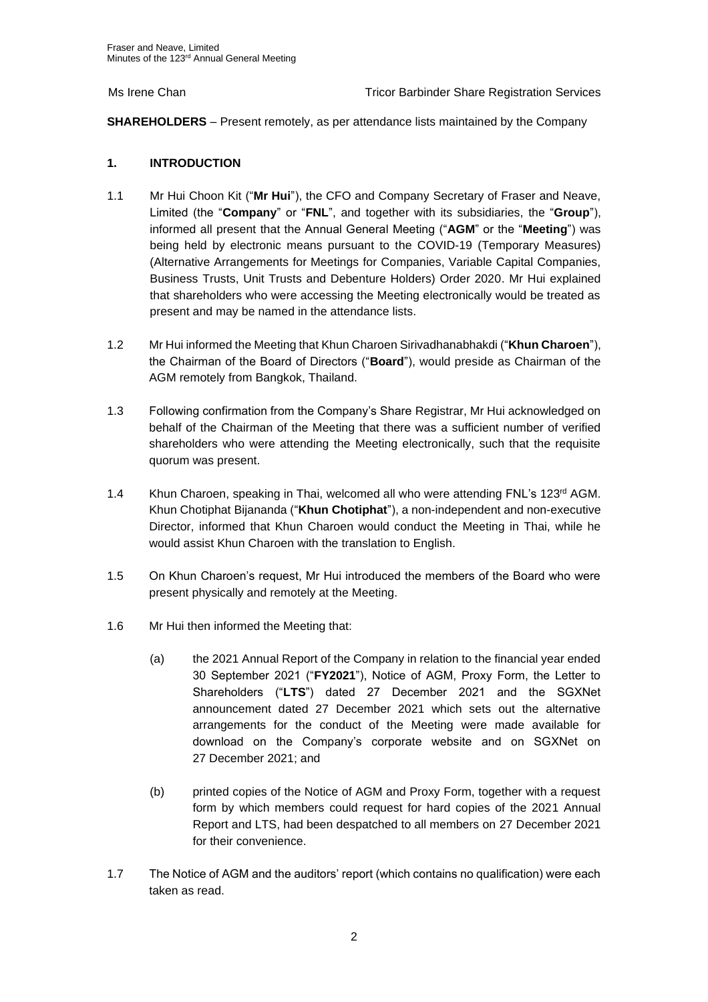**SHAREHOLDERS** – Present remotely, as per attendance lists maintained by the Company

# **1. INTRODUCTION**

- 1.1 Mr Hui Choon Kit ("**Mr Hui**"), the CFO and Company Secretary of Fraser and Neave, Limited (the "**Company**" or "**FNL**", and together with its subsidiaries, the "**Group**"), informed all present that the Annual General Meeting ("**AGM**" or the "**Meeting**") was being held by electronic means pursuant to the COVID-19 (Temporary Measures) (Alternative Arrangements for Meetings for Companies, Variable Capital Companies, Business Trusts, Unit Trusts and Debenture Holders) Order 2020. Mr Hui explained that shareholders who were accessing the Meeting electronically would be treated as present and may be named in the attendance lists.
- 1.2 Mr Hui informed the Meeting that Khun Charoen Sirivadhanabhakdi ("**Khun Charoen**"), the Chairman of the Board of Directors ("**Board**"), would preside as Chairman of the AGM remotely from Bangkok, Thailand.
- 1.3 Following confirmation from the Company's Share Registrar, Mr Hui acknowledged on behalf of the Chairman of the Meeting that there was a sufficient number of verified shareholders who were attending the Meeting electronically, such that the requisite quorum was present.
- 1.4 Khun Charoen, speaking in Thai, welcomed all who were attending FNL's 123<sup>rd</sup> AGM. Khun Chotiphat Bijananda ("**Khun Chotiphat**"), a non-independent and non-executive Director, informed that Khun Charoen would conduct the Meeting in Thai, while he would assist Khun Charoen with the translation to English.
- 1.5 On Khun Charoen's request, Mr Hui introduced the members of the Board who were present physically and remotely at the Meeting.
- 1.6 Mr Hui then informed the Meeting that:
	- (a) the 2021 Annual Report of the Company in relation to the financial year ended 30 September 2021 ("**FY2021**"), Notice of AGM, Proxy Form, the Letter to Shareholders ("**LTS**") dated 27 December 2021 and the SGXNet announcement dated 27 December 2021 which sets out the alternative arrangements for the conduct of the Meeting were made available for download on the Company's corporate website and on SGXNet on 27 December 2021; and
	- (b) printed copies of the Notice of AGM and Proxy Form, together with a request form by which members could request for hard copies of the 2021 Annual Report and LTS, had been despatched to all members on 27 December 2021 for their convenience.
- 1.7 The Notice of AGM and the auditors' report (which contains no qualification) were each taken as read.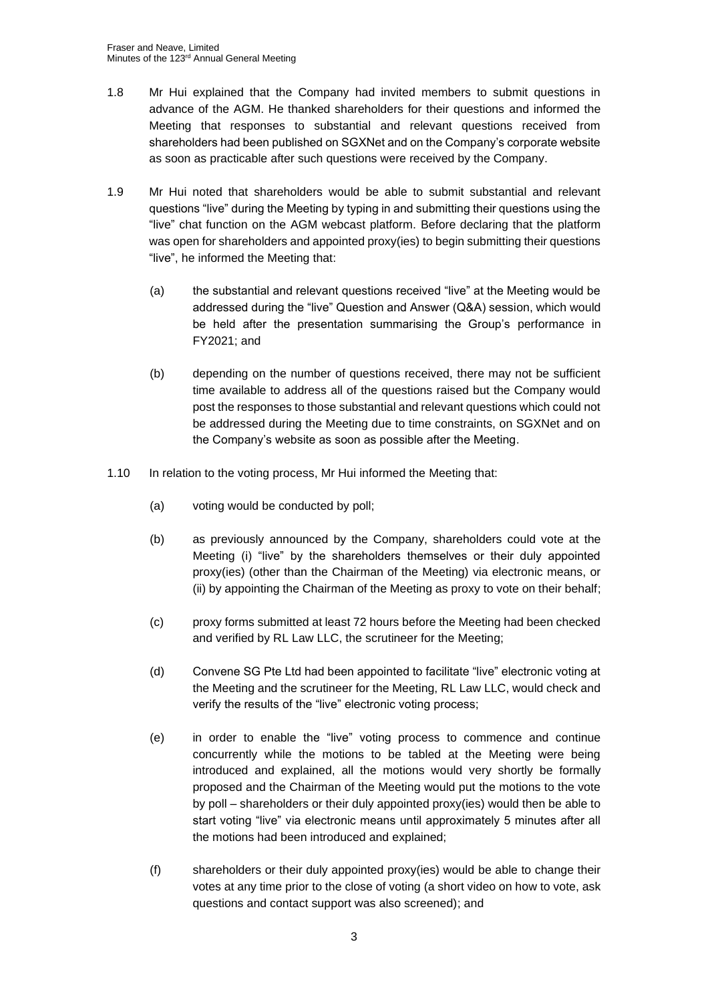- 1.8 Mr Hui explained that the Company had invited members to submit questions in advance of the AGM. He thanked shareholders for their questions and informed the Meeting that responses to substantial and relevant questions received from shareholders had been published on SGXNet and on the Company's corporate website as soon as practicable after such questions were received by the Company.
- 1.9 Mr Hui noted that shareholders would be able to submit substantial and relevant questions "live" during the Meeting by typing in and submitting their questions using the "live" chat function on the AGM webcast platform. Before declaring that the platform was open for shareholders and appointed proxy(ies) to begin submitting their questions "live", he informed the Meeting that:
	- (a) the substantial and relevant questions received "live" at the Meeting would be addressed during the "live" Question and Answer (Q&A) session, which would be held after the presentation summarising the Group's performance in FY2021; and
	- (b) depending on the number of questions received, there may not be sufficient time available to address all of the questions raised but the Company would post the responses to those substantial and relevant questions which could not be addressed during the Meeting due to time constraints, on SGXNet and on the Company's website as soon as possible after the Meeting.
- 1.10 In relation to the voting process, Mr Hui informed the Meeting that:
	- (a) voting would be conducted by poll;
	- (b) as previously announced by the Company, shareholders could vote at the Meeting (i) "live" by the shareholders themselves or their duly appointed proxy(ies) (other than the Chairman of the Meeting) via electronic means, or (ii) by appointing the Chairman of the Meeting as proxy to vote on their behalf;
	- (c) proxy forms submitted at least 72 hours before the Meeting had been checked and verified by RL Law LLC, the scrutineer for the Meeting;
	- (d) Convene SG Pte Ltd had been appointed to facilitate "live" electronic voting at the Meeting and the scrutineer for the Meeting, RL Law LLC, would check and verify the results of the "live" electronic voting process;
	- (e) in order to enable the "live" voting process to commence and continue concurrently while the motions to be tabled at the Meeting were being introduced and explained, all the motions would very shortly be formally proposed and the Chairman of the Meeting would put the motions to the vote by poll – shareholders or their duly appointed proxy(ies) would then be able to start voting "live" via electronic means until approximately 5 minutes after all the motions had been introduced and explained;
	- (f) shareholders or their duly appointed proxy(ies) would be able to change their votes at any time prior to the close of voting (a short video on how to vote, ask questions and contact support was also screened); and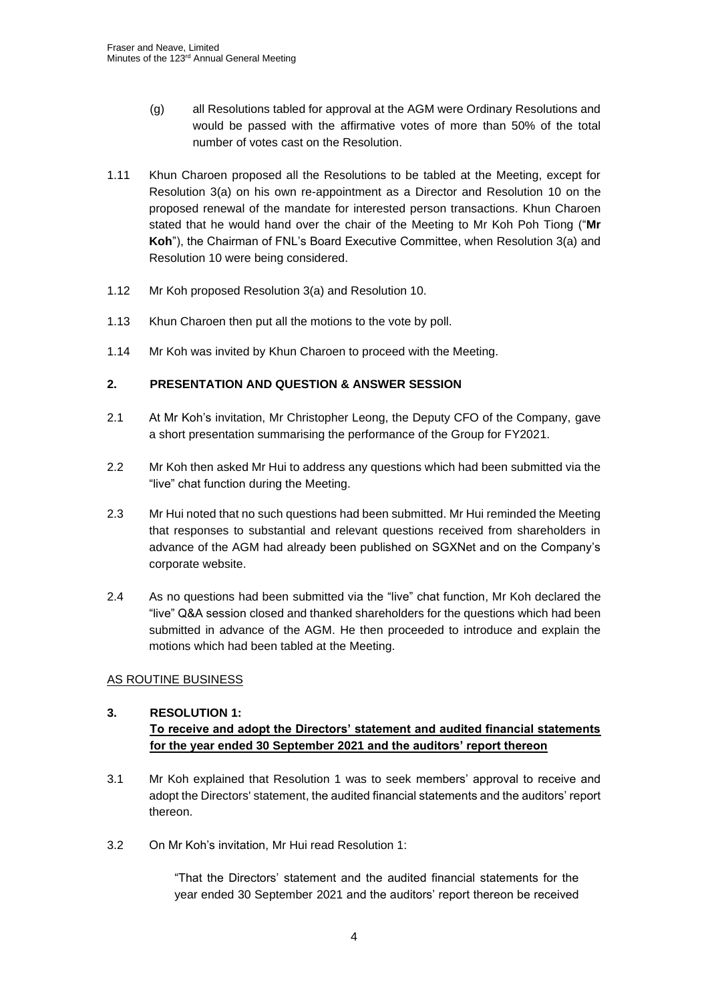- (g) all Resolutions tabled for approval at the AGM were Ordinary Resolutions and would be passed with the affirmative votes of more than 50% of the total number of votes cast on the Resolution.
- 1.11 Khun Charoen proposed all the Resolutions to be tabled at the Meeting, except for Resolution 3(a) on his own re-appointment as a Director and Resolution 10 on the proposed renewal of the mandate for interested person transactions. Khun Charoen stated that he would hand over the chair of the Meeting to Mr Koh Poh Tiong ("**Mr Koh**"), the Chairman of FNL's Board Executive Committee, when Resolution 3(a) and Resolution 10 were being considered.
- 1.12 Mr Koh proposed Resolution 3(a) and Resolution 10.
- 1.13 Khun Charoen then put all the motions to the vote by poll.
- 1.14 Mr Koh was invited by Khun Charoen to proceed with the Meeting.

## **2. PRESENTATION AND QUESTION & ANSWER SESSION**

- 2.1 At Mr Koh's invitation, Mr Christopher Leong, the Deputy CFO of the Company, gave a short presentation summarising the performance of the Group for FY2021.
- 2.2 Mr Koh then asked Mr Hui to address any questions which had been submitted via the "live" chat function during the Meeting.
- 2.3 Mr Hui noted that no such questions had been submitted. Mr Hui reminded the Meeting that responses to substantial and relevant questions received from shareholders in advance of the AGM had already been published on SGXNet and on the Company's corporate website.
- 2.4 As no questions had been submitted via the "live" chat function, Mr Koh declared the "live" Q&A session closed and thanked shareholders for the questions which had been submitted in advance of the AGM. He then proceeded to introduce and explain the motions which had been tabled at the Meeting.

### AS ROUTINE BUSINESS

# **3. RESOLUTION 1: To receive and adopt the Directors' statement and audited financial statements for the year ended 30 September 2021 and the auditors' report thereon**

- 3.1 Mr Koh explained that Resolution 1 was to seek members' approval to receive and adopt the Directors' statement, the audited financial statements and the auditors' report thereon.
- 3.2 On Mr Koh's invitation, Mr Hui read Resolution 1:

"That the Directors' statement and the audited financial statements for the year ended 30 September 2021 and the auditors' report thereon be received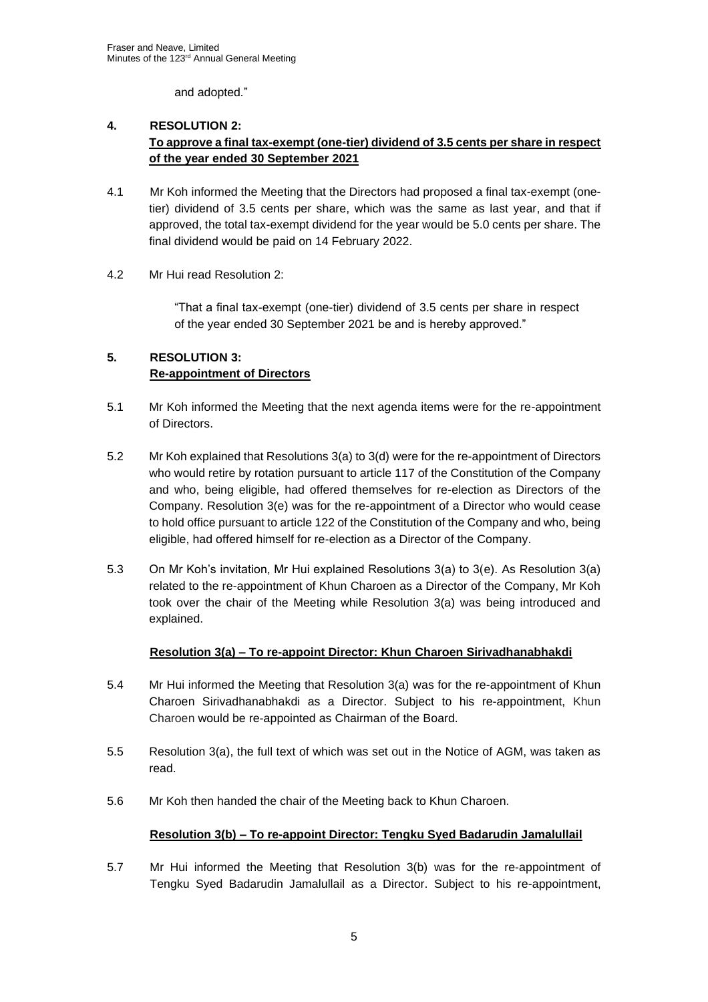and adopted*.*"

# **4. RESOLUTION 2: To approve a final tax-exempt (one-tier) dividend of 3.5 cents per share in respect of the year ended 30 September 2021**

- 4.1 Mr Koh informed the Meeting that the Directors had proposed a final tax-exempt (onetier) dividend of 3.5 cents per share, which was the same as last year, and that if approved, the total tax-exempt dividend for the year would be 5.0 cents per share. The final dividend would be paid on 14 February 2022.
- 4.2 Mr Hui read Resolution 2:

"That a final tax-exempt (one-tier) dividend of 3.5 cents per share in respect of the year ended 30 September 2021 be and is hereby approved."

# **5. RESOLUTION 3: Re-appointment of Directors**

- 5.1 Mr Koh informed the Meeting that the next agenda items were for the re-appointment of Directors.
- 5.2 Mr Koh explained that Resolutions 3(a) to 3(d) were for the re-appointment of Directors who would retire by rotation pursuant to article 117 of the Constitution of the Company and who, being eligible, had offered themselves for re-election as Directors of the Company. Resolution 3(e) was for the re-appointment of a Director who would cease to hold office pursuant to article 122 of the Constitution of the Company and who, being eligible, had offered himself for re-election as a Director of the Company.
- 5.3 On Mr Koh's invitation, Mr Hui explained Resolutions 3(a) to 3(e). As Resolution 3(a) related to the re-appointment of Khun Charoen as a Director of the Company, Mr Koh took over the chair of the Meeting while Resolution 3(a) was being introduced and explained.

# **Resolution 3(a) – To re-appoint Director: Khun Charoen Sirivadhanabhakdi**

- 5.4 Mr Hui informed the Meeting that Resolution 3(a) was for the re-appointment of Khun Charoen Sirivadhanabhakdi as a Director. Subject to his re-appointment, Khun Charoen would be re-appointed as Chairman of the Board.
- 5.5 Resolution 3(a), the full text of which was set out in the Notice of AGM, was taken as read.
- 5.6 Mr Koh then handed the chair of the Meeting back to Khun Charoen.

# **Resolution 3(b) – To re-appoint Director: Tengku Syed Badarudin Jamalullail**

5.7 Mr Hui informed the Meeting that Resolution 3(b) was for the re-appointment of Tengku Syed Badarudin Jamalullail as a Director. Subject to his re-appointment,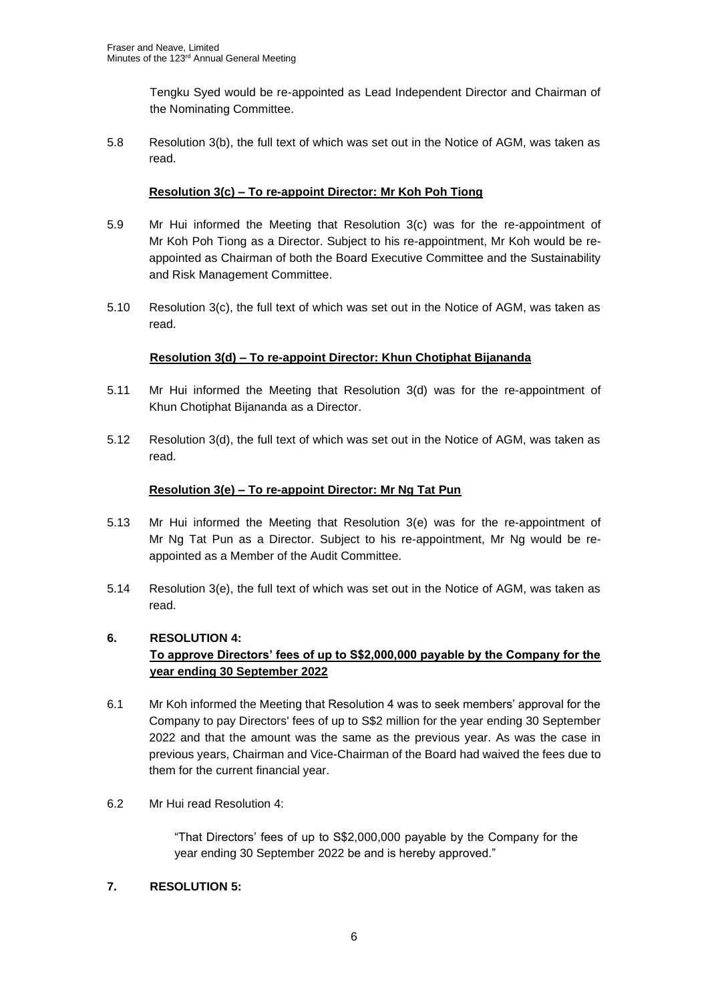Tengku Syed would be re-appointed as Lead Independent Director and Chairman of the Nominating Committee.

5.8 Resolution 3(b), the full text of which was set out in the Notice of AGM, was taken as read.

# **Resolution 3(c) – To re-appoint Director: Mr Koh Poh Tiong**

- 5.9 Mr Hui informed the Meeting that Resolution 3(c) was for the re-appointment of Mr Koh Poh Tiong as a Director. Subject to his re-appointment, Mr Koh would be reappointed as Chairman of both the Board Executive Committee and the Sustainability and Risk Management Committee.
- 5.10 Resolution 3(c), the full text of which was set out in the Notice of AGM, was taken as read.

## **Resolution 3(d) – To re-appoint Director: Khun Chotiphat Bijananda**

- 5.11 Mr Hui informed the Meeting that Resolution 3(d) was for the re-appointment of Khun Chotiphat Bijananda as a Director.
- 5.12 Resolution 3(d), the full text of which was set out in the Notice of AGM, was taken as read.

## **Resolution 3(e) – To re-appoint Director: Mr Ng Tat Pun**

- 5.13 Mr Hui informed the Meeting that Resolution 3(e) was for the re-appointment of Mr Ng Tat Pun as a Director. Subject to his re-appointment, Mr Ng would be reappointed as a Member of the Audit Committee.
- 5.14 Resolution 3(e), the full text of which was set out in the Notice of AGM, was taken as read.

### **6. RESOLUTION 4:**

# **To approve Directors' fees of up to S\$2,000,000 payable by the Company for the year ending 30 September 2022**

- 6.1 Mr Koh informed the Meeting that Resolution 4 was to seek members' approval for the Company to pay Directors' fees of up to S\$2 million for the year ending 30 September 2022 and that the amount was the same as the previous year. As was the case in previous years, Chairman and Vice-Chairman of the Board had waived the fees due to them for the current financial year.
- 6.2 Mr Hui read Resolution 4:

"That Directors' fees of up to S\$2,000,000 payable by the Company for the year ending 30 September 2022 be and is hereby approved."

### **7. RESOLUTION 5:**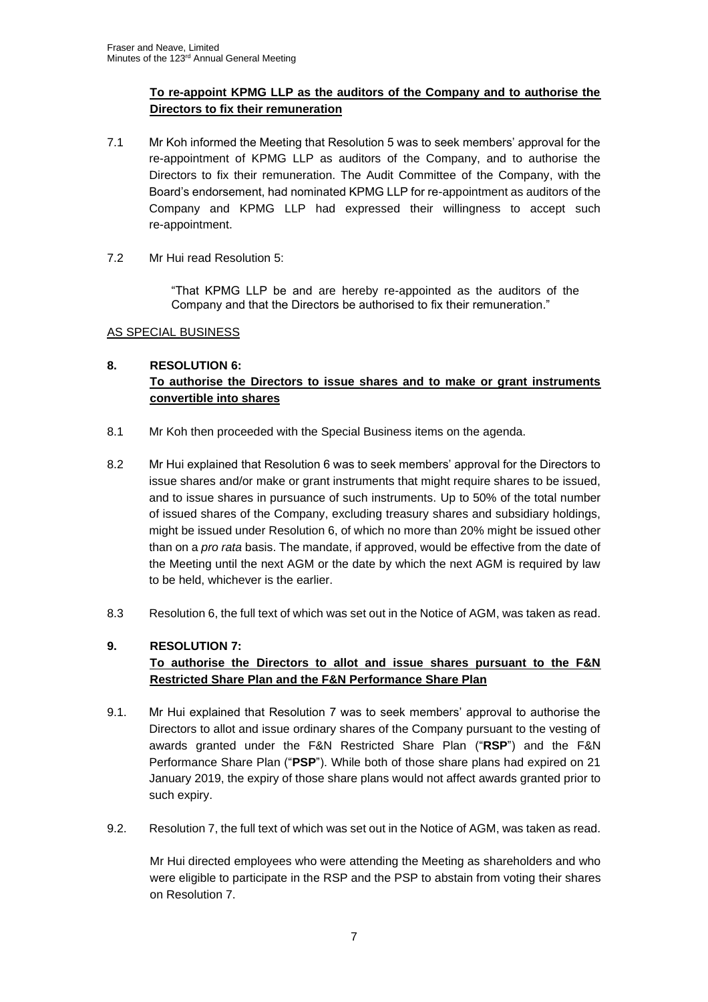# **To re-appoint KPMG LLP as the auditors of the Company and to authorise the Directors to fix their remuneration**

- 7.1 Mr Koh informed the Meeting that Resolution 5 was to seek members' approval for the re-appointment of KPMG LLP as auditors of the Company, and to authorise the Directors to fix their remuneration. The Audit Committee of the Company, with the Board's endorsement, had nominated KPMG LLP for re-appointment as auditors of the Company and KPMG LLP had expressed their willingness to accept such re-appointment.
- 7.2 Mr Hui read Resolution 5:

"That KPMG LLP be and are hereby re-appointed as the auditors of the Company and that the Directors be authorised to fix their remuneration."

## AS SPECIAL BUSINESS

# **8. RESOLUTION 6: To authorise the Directors to issue shares and to make or grant instruments convertible into shares**

- 8.1 Mr Koh then proceeded with the Special Business items on the agenda.
- 8.2 Mr Hui explained that Resolution 6 was to seek members' approval for the Directors to issue shares and/or make or grant instruments that might require shares to be issued, and to issue shares in pursuance of such instruments. Up to 50% of the total number of issued shares of the Company, excluding treasury shares and subsidiary holdings, might be issued under Resolution 6, of which no more than 20% might be issued other than on a *pro rata* basis. The mandate, if approved, would be effective from the date of the Meeting until the next AGM or the date by which the next AGM is required by law to be held, whichever is the earlier.
- 8.3 Resolution 6, the full text of which was set out in the Notice of AGM, was taken as read.

# **9. RESOLUTION 7:**

# **To authorise the Directors to allot and issue shares pursuant to the F&N Restricted Share Plan and the F&N Performance Share Plan**

- 9.1. Mr Hui explained that Resolution 7 was to seek members' approval to authorise the Directors to allot and issue ordinary shares of the Company pursuant to the vesting of awards granted under the F&N Restricted Share Plan ("**RSP**") and the F&N Performance Share Plan ("**PSP**"). While both of those share plans had expired on 21 January 2019, the expiry of those share plans would not affect awards granted prior to such expiry.
- 9.2. Resolution 7, the full text of which was set out in the Notice of AGM, was taken as read.

Mr Hui directed employees who were attending the Meeting as shareholders and who were eligible to participate in the RSP and the PSP to abstain from voting their shares on Resolution 7.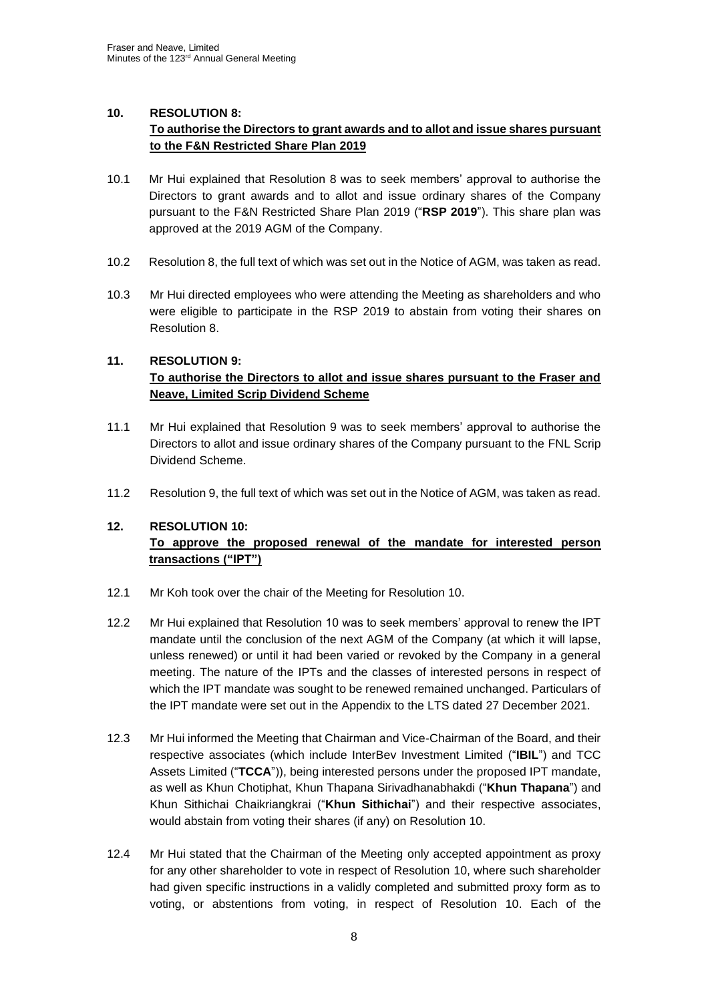## **10. RESOLUTION 8:**

# **To authorise the Directors to grant awards and to allot and issue shares pursuant to the F&N Restricted Share Plan 2019**

- 10.1 Mr Hui explained that Resolution 8 was to seek members' approval to authorise the Directors to grant awards and to allot and issue ordinary shares of the Company pursuant to the F&N Restricted Share Plan 2019 ("**RSP 2019**"). This share plan was approved at the 2019 AGM of the Company.
- 10.2 Resolution 8, the full text of which was set out in the Notice of AGM, was taken as read.
- 10.3 Mr Hui directed employees who were attending the Meeting as shareholders and who were eligible to participate in the RSP 2019 to abstain from voting their shares on Resolution 8.

## **11. RESOLUTION 9:**

# **To authorise the Directors to allot and issue shares pursuant to the Fraser and Neave, Limited Scrip Dividend Scheme**

- 11.1 Mr Hui explained that Resolution 9 was to seek members' approval to authorise the Directors to allot and issue ordinary shares of the Company pursuant to the FNL Scrip Dividend Scheme.
- 11.2 Resolution 9, the full text of which was set out in the Notice of AGM, was taken as read.

# **12. RESOLUTION 10:**

# **To approve the proposed renewal of the mandate for interested person transactions ("IPT")**

- 12.1 Mr Koh took over the chair of the Meeting for Resolution 10.
- 12.2 Mr Hui explained that Resolution 10 was to seek members' approval to renew the IPT mandate until the conclusion of the next AGM of the Company (at which it will lapse, unless renewed) or until it had been varied or revoked by the Company in a general meeting. The nature of the IPTs and the classes of interested persons in respect of which the IPT mandate was sought to be renewed remained unchanged. Particulars of the IPT mandate were set out in the Appendix to the LTS dated 27 December 2021.
- 12.3 Mr Hui informed the Meeting that Chairman and Vice-Chairman of the Board, and their respective associates (which include InterBev Investment Limited ("**IBIL**") and TCC Assets Limited ("**TCCA**")), being interested persons under the proposed IPT mandate, as well as Khun Chotiphat, Khun Thapana Sirivadhanabhakdi ("**Khun Thapana**") and Khun Sithichai Chaikriangkrai ("**Khun Sithichai**") and their respective associates, would abstain from voting their shares (if any) on Resolution 10.
- 12.4 Mr Hui stated that the Chairman of the Meeting only accepted appointment as proxy for any other shareholder to vote in respect of Resolution 10, where such shareholder had given specific instructions in a validly completed and submitted proxy form as to voting, or abstentions from voting, in respect of Resolution 10. Each of the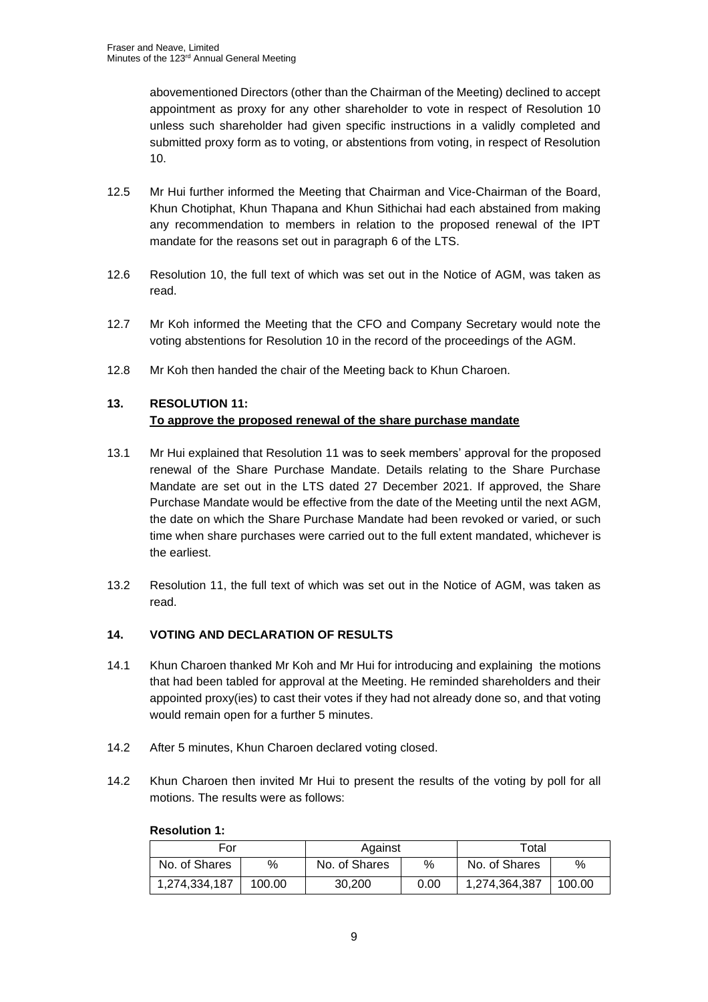abovementioned Directors (other than the Chairman of the Meeting) declined to accept appointment as proxy for any other shareholder to vote in respect of Resolution 10 unless such shareholder had given specific instructions in a validly completed and submitted proxy form as to voting, or abstentions from voting, in respect of Resolution 10.

- 12.5 Mr Hui further informed the Meeting that Chairman and Vice-Chairman of the Board, Khun Chotiphat, Khun Thapana and Khun Sithichai had each abstained from making any recommendation to members in relation to the proposed renewal of the IPT mandate for the reasons set out in paragraph 6 of the LTS.
- 12.6 Resolution 10, the full text of which was set out in the Notice of AGM, was taken as read.
- 12.7 Mr Koh informed the Meeting that the CFO and Company Secretary would note the voting abstentions for Resolution 10 in the record of the proceedings of the AGM.
- 12.8 Mr Koh then handed the chair of the Meeting back to Khun Charoen.

# **13. RESOLUTION 11: To approve the proposed renewal of the share purchase mandate**

- 13.1 Mr Hui explained that Resolution 11 was to seek members' approval for the proposed renewal of the Share Purchase Mandate. Details relating to the Share Purchase Mandate are set out in the LTS dated 27 December 2021. If approved, the Share Purchase Mandate would be effective from the date of the Meeting until the next AGM, the date on which the Share Purchase Mandate had been revoked or varied, or such time when share purchases were carried out to the full extent mandated, whichever is the earliest.
- 13.2 Resolution 11, the full text of which was set out in the Notice of AGM, was taken as read.

### **14. VOTING AND DECLARATION OF RESULTS**

- 14.1 Khun Charoen thanked Mr Koh and Mr Hui for introducing and explaining the motions that had been tabled for approval at the Meeting. He reminded shareholders and their appointed proxy(ies) to cast their votes if they had not already done so, and that voting would remain open for a further 5 minutes.
- 14.2 After 5 minutes, Khun Charoen declared voting closed.
- 14.2 Khun Charoen then invited Mr Hui to present the results of the voting by poll for all motions. The results were as follows:

| For           |        | Against       |      | Total         |        |
|---------------|--------|---------------|------|---------------|--------|
| No. of Shares | $\%$   | No. of Shares | %    | No. of Shares | %      |
| 1,274,334,187 | 100.00 | 30,200        | 0.00 | 1,274,364,387 | 100.00 |

### **Resolution 1:**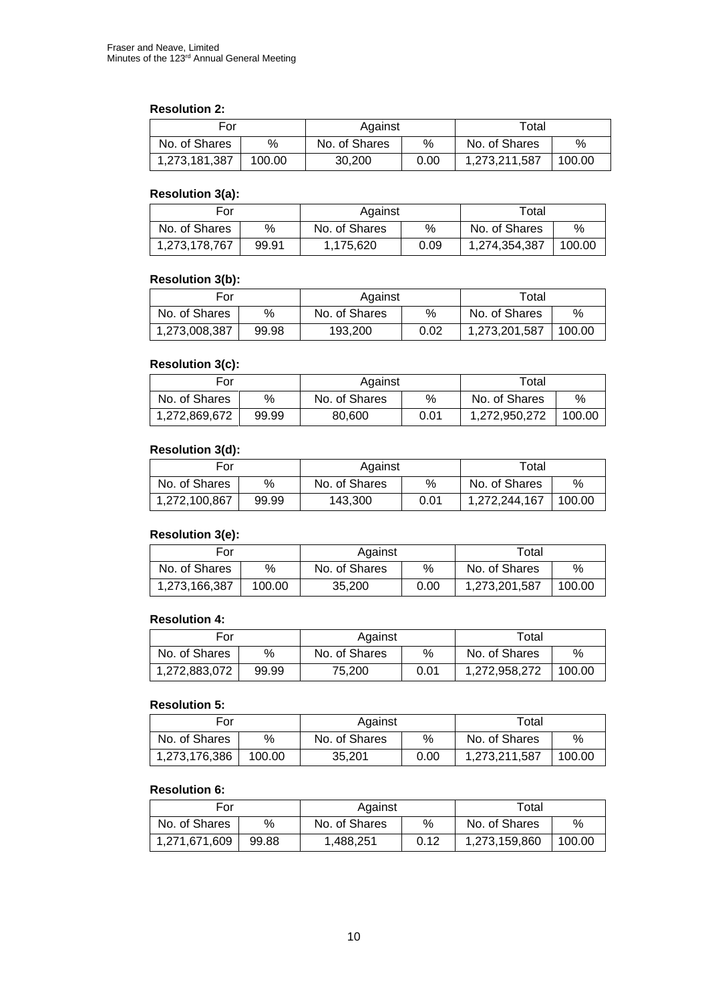### **Resolution 2:**

| For           |        | Against       |      | Total         |        |
|---------------|--------|---------------|------|---------------|--------|
| No. of Shares | %      | No. of Shares | %    | No. of Shares | %      |
| 1,273,181,387 | 100.00 | 30.200        | 0.00 | 1,273,211,587 | 100.00 |

## **Resolution 3(a):**

| For           |       | Against       |      | Total         |        |
|---------------|-------|---------------|------|---------------|--------|
| No. of Shares | %     | No. of Shares | %    | No. of Shares | $\%$   |
| 1,273,178,767 | 99.91 | 1,175,620     | 0.09 | 1,274,354,387 | 100.00 |

#### **Resolution 3(b):**

| For           |       | Against       |      | Total         |        |
|---------------|-------|---------------|------|---------------|--------|
| No. of Shares | %     | No. of Shares | %    | No. of Shares | %      |
| 1,273,008,387 | 99.98 | 193,200       | 0.02 | 1,273,201,587 | 100.00 |

#### **Resolution 3(c):**

| For           |       | Against       |      | $\tau$ otal   |        |
|---------------|-------|---------------|------|---------------|--------|
| No. of Shares | %     | No. of Shares | %    | No. of Shares | $\%$   |
| 1,272,869,672 | 99.99 | 80.600        | 0.01 | 1.272.950.272 | 100.00 |

# **Resolution 3(d):**

| For           |       | Against       |      | Total         |        |
|---------------|-------|---------------|------|---------------|--------|
| No. of Shares | %     | No. of Shares | %    | No. of Shares | %      |
| 1,272,100,867 | 99.99 | 143,300       | 0.01 | 1,272,244,167 | 100.00 |

## **Resolution 3(e):**

| For           |        | Against       |      | Total         |        |
|---------------|--------|---------------|------|---------------|--------|
| No. of Shares | %      | No. of Shares | %    | No. of Shares | %      |
| 1,273,166,387 | 100.00 | 35,200        | 0.00 | 1,273,201,587 | 100.00 |

## **Resolution 4:**

| For           |       | Against       |      | Total         |        |
|---------------|-------|---------------|------|---------------|--------|
| No. of Shares | %     | No. of Shares | %    | No. of Shares | %      |
| 1,272,883,072 | 99.99 | 75.200        | 0.01 | 1,272,958,272 | 100.00 |

# **Resolution 5:**

| For           |        | Against       |      | Total         |        |
|---------------|--------|---------------|------|---------------|--------|
| No. of Shares | %      | No. of Shares | %    | No. of Shares | %      |
| 1,273,176,386 | 100.00 | 35.201        | 0.00 | 1,273,211,587 | 100.00 |

# **Resolution 6:**

| For           |       | Against       |      | Total         |        |
|---------------|-------|---------------|------|---------------|--------|
| No. of Shares | %     | No. of Shares | %    | No. of Shares | %      |
| 1.271.671.609 | 99.88 | 1,488,251     | 0.12 | 1,273,159,860 | 100.00 |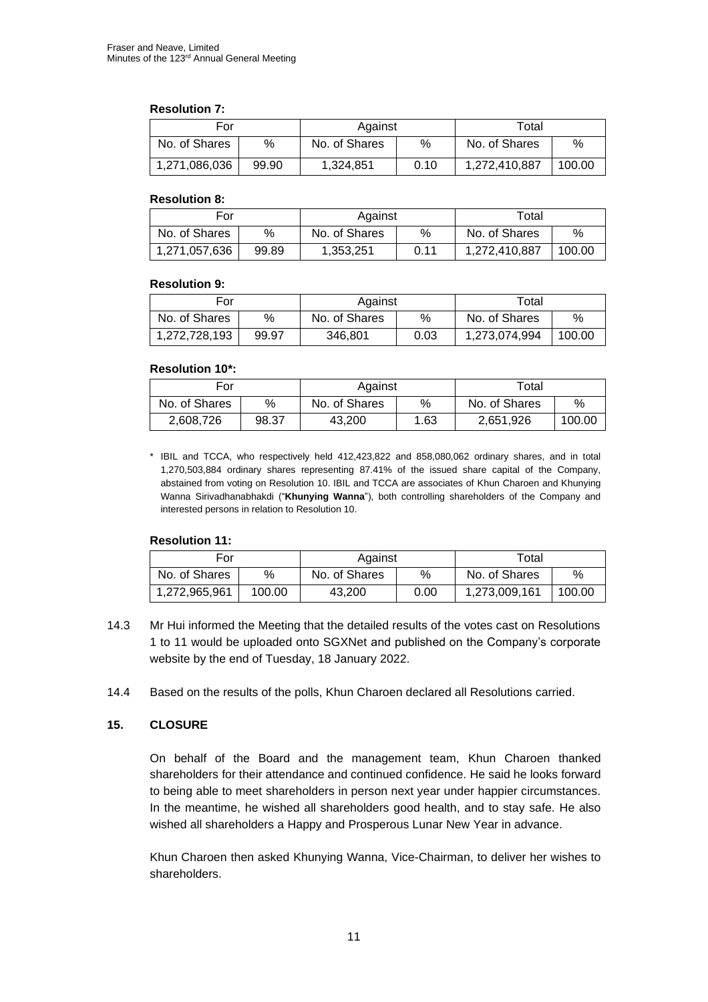#### **Resolution 7:**

| For           |       | Against       |      | Total         |        |
|---------------|-------|---------------|------|---------------|--------|
| No. of Shares | %     | No. of Shares | %    | No. of Shares | %      |
| 1,271,086,036 | 99.90 | 1,324,851     | 0.10 | 1,272,410,887 | 100.00 |

#### **Resolution 8:**

| For           |       | Against       |      | Total         |        |
|---------------|-------|---------------|------|---------------|--------|
| No. of Shares | %     | No. of Shares | %    | No. of Shares | %      |
| 1,271,057,636 | 99.89 | 1,353,251     | 0.11 | 1,272,410,887 | 100.00 |

#### **Resolution 9:**

| For           |       | Against       |      | Total         |        |
|---------------|-------|---------------|------|---------------|--------|
| No. of Shares | %     | No. of Shares | %    | No. of Shares | %      |
| 1,272,728,193 | 99.97 | 346.801       | 0.03 | 1,273,074,994 | 100.00 |

## **Resolution 10\*:**

| For           |       | Against       |      | Total         |        |
|---------------|-------|---------------|------|---------------|--------|
| No. of Shares | %     | No. of Shares | %    | No. of Shares | %      |
| 2,608,726     | 98.37 | 43.200        | 1.63 | 2.651.926     | 100.00 |

\* IBIL and TCCA, who respectively held 412,423,822 and 858,080,062 ordinary shares, and in total 1,270,503,884 ordinary shares representing 87.41% of the issued share capital of the Company, abstained from voting on Resolution 10. IBIL and TCCA are associates of Khun Charoen and Khunying Wanna Sirivadhanabhakdi ("**Khunying Wanna**"), both controlling shareholders of the Company and interested persons in relation to Resolution 10.

### **Resolution 11:**

| For           |        | Against       |      | Total         |        |
|---------------|--------|---------------|------|---------------|--------|
| No. of Shares | %      | No. of Shares | %    | No. of Shares | %      |
| 1,272,965,961 | 100.00 | 43.200        | 0.00 | 1,273,009,161 | 100.00 |

- 14.3 Mr Hui informed the Meeting that the detailed results of the votes cast on Resolutions 1 to 11 would be uploaded onto SGXNet and published on the Company's corporate website by the end of Tuesday, 18 January 2022.
- 14.4 Based on the results of the polls, Khun Charoen declared all Resolutions carried.

### **15. CLOSURE**

On behalf of the Board and the management team, Khun Charoen thanked shareholders for their attendance and continued confidence. He said he looks forward to being able to meet shareholders in person next year under happier circumstances. In the meantime, he wished all shareholders good health, and to stay safe. He also wished all shareholders a Happy and Prosperous Lunar New Year in advance.

Khun Charoen then asked Khunying Wanna, Vice-Chairman, to deliver her wishes to shareholders.